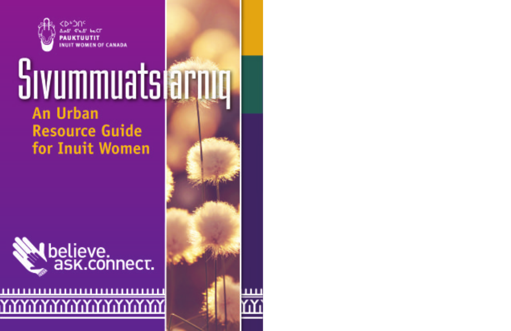

# Sivummuatsiarmu **An Urban Resource Guide**

for Inuit Women



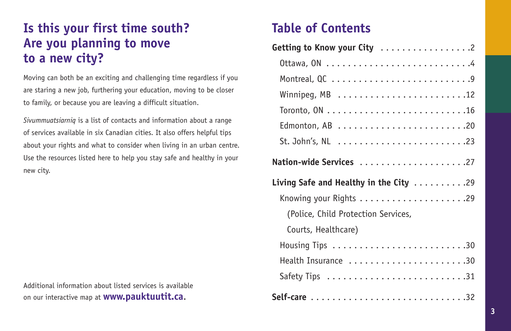### **Is this your first time south? Are you planning to move to a new city?**

Moving can both be an exciting and challenging time regardless if you are staring a new job, furthering your education, moving to be closer to family, or because you are leaving a difficult situation.

*Sivummuatsiarniq* is a list of contacts and information about a range of services available in six Canadian cities. It also offers helpful tips about your rights and what to consider when living in an urban centre. Use the resources listed here to help you stay safe and healthy in your new city.

Additional information about listed services is available on our interactive map at **www.pauktuutit.ca**.

### **Table of Contents**

| Getting to Know your City 2                                 |
|-------------------------------------------------------------|
|                                                             |
|                                                             |
|                                                             |
|                                                             |
| Edmonton, AB $\dots\dots\dots\dots\dots\dots\dots\dots$ .20 |
|                                                             |
| Nation-wide Services 27                                     |
| Living Safe and Healthy in the City $\ldots \ldots \ldots$  |
|                                                             |
| (Police, Child Protection Services,                         |
| Courts, Healthcare)                                         |
|                                                             |
|                                                             |
| Health Insurance 30                                         |
|                                                             |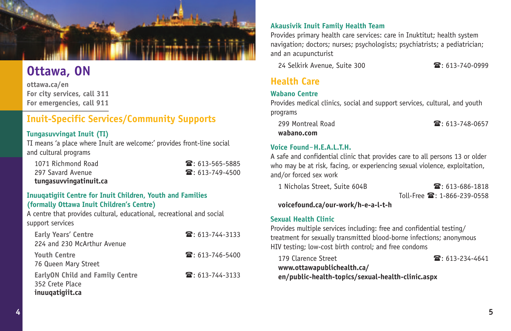

## **Ottawa, ON**

**ottawa.ca/en For city services, call 311 For emergencies, call 911**

### **Inuit-Specific Services/Community Supports**

#### **Tungasuvvingat Inuit (TI)**

TI means 'a place where Inuit are welcome:' provides front-line social and cultural programs

1071 Richmond Road 297 Savard Avenue **tungasuvvingatinuit.ca**

| ■:613-565-5885              |
|-----------------------------|
| $\mathbf{F}$ : 613-749-4500 |

#### **Inuuqatigiit Centre for Inuit Children, Youth and Families (formally Ottawa Inuit Children's Centre)**

A centre that provides cultural, educational, recreational and social support services

| <b>Early Years' Centre</b><br>224 and 230 McArthur Avenue                    | $\mathbf{\mathcal{F}}$ : 613-744-3133 |
|------------------------------------------------------------------------------|---------------------------------------|
| <b>Youth Centre</b><br>76 Queen Mary Street                                  | $\mathbf{\mathcal{F}}$ : 613-746-5400 |
| <b>EarlyON Child and Family Centre</b><br>352 Crete Place<br>inuuqatigiit.ca | $\mathbf{\widehat{m}}$ : 613-744-3133 |

#### **Akausivik Inuit Family Health Team**

Provides primary health care services: care in Inuktitut; health system navigation; doctors; nurses; psychologists; psychiatrists; a pediatrician; and an acupuncturist

24 Selkirk Avenue, Suite 300 : 613-740-0999

### **Health Care**

#### **Wabano Centre**

Provides medical clinics, social and support services, cultural, and youth programs

 299 Montreal Road : 613-748-0657 **wabano.com**

#### **Voice Found**‒**H.E.A.L.T.H.**

A safe and confidential clinic that provides care to all persons 13 or older who may be at risk, facing, or experiencing sexual violence, exploitation, and/or forced sex work

1 Nicholas Street, Suite 604B  $\blacksquare$ : 613-686-1818

 $T_0$ II-Free  $\mathbf{\mathcal{F}}$  : 1-866-239-0558

**voicefound.ca/our-work/h-e-a-l-t-h**

#### **Sexual Health Clinic**

Provides multiple services including: free and confidential testing/ treatment for sexually transmitted blood-borne infections; anonymous HIV testing; low-cost birth control; and free condoms

179 Clarence Street : 613-234-4641 **www.ottawapublichealth.ca/ en/public-health-topics/sexual-health-clinic.aspx**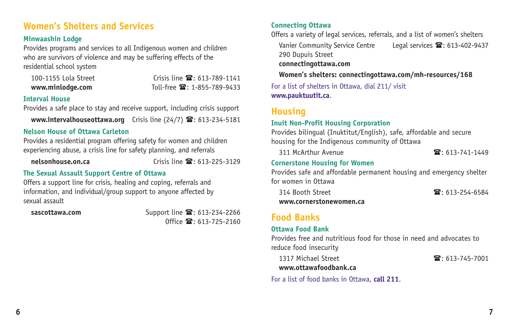### **Women's Shelters and Services**

#### **Minwaashin Lodge**

Provides programs and services to all Indigenous women and children who are survivors of violence and may be suffering effects of the residential school system

100-1155 Lola Street Crisis line  $\mathbb{S}: 613-789-1141$ **www.minlodge.com** Toll-free  $\mathbf{\mathcal{F}}$ : 1-855-789-9433

#### **Interval House**

Provides a safe place to stay and receive support, including crisis support

**www.intervalhouseottawa.org** Crisis line (24/7)  $\mathbf{B}$ : 613-234-5181

#### **Nelson House of Ottawa Carleton**

Provides a residential program offering safety for women and children experiencing abuse, a crisis line for safety planning, and referrals

**nelsonhouse.on.ca Crisis line**  $\mathbb{R}$ **: 613-225-3129** 

#### **The Sexual Assault Support Centre of Ottawa**

Offers a support line for crisis, healing and coping, referrals and information, and individual/group support to anyone affected by sexual assault

sascottawa.com **Support line 2: 613-234-2266**  $0$ ffice  $\mathbf{\widehat{a}}$ : 613-725-2160

#### **Connecting Ottawa**

Offers a variety of legal services, referrals, and a list of women's shelters

Vanier Community Service Centre Legal services <sup>2</sup>: 613-402-9437

290 Dupuis Street

**connectingottawa.com** 

 **Women's shelters: connectingottawa.com/mh-resources/168**

For a list of shelters in Ottawa, dial 211/ visit **www.pauktuutit.ca**.

### **Housing**

#### **Inuit Non-Profit Housing Corporation**

Provides bilingual (Inuktitut/English), safe, affordable and secure housing for the Indigenous community of Ottawa

311 McArthur Avenue : 613-741-1449

#### **Cornerstone Housing for Women**

Provides safe and affordable permanent housing and emergency shelter for women in Ottawa

314 Booth Street : 613-254-6584 **www.cornerstonewomen.ca** 

### **Food Banks**

#### **Ottawa Food Bank**

Provides free and nutritious food for those in need and advocates to reduce food insecurity

1317 Michael Street : 613-745-7001 **www.ottawafoodbank.ca** 

For a list of food banks in Ottawa, **call 211**.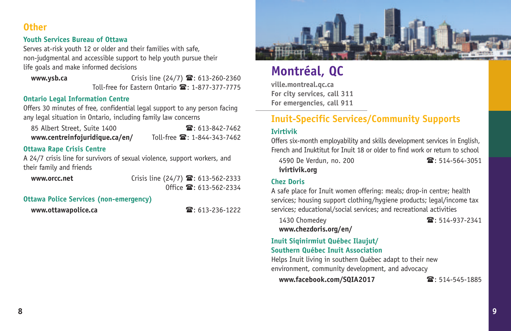### **Other**

#### **Youth Services Bureau of Ottawa**

Serves at-risk youth 12 or older and their families with safe, non-judgmental and accessible support to help youth pursue their life goals and make informed decisions

**www.ysb.ca** Crisis line (24/7)  $\mathbf{r}$ : 613-260-2360 Toll-free for Fastern Ontario  $\mathbf{\mathcal{F}}$ : 1-877-377-7775

#### **Ontario Legal Information Centre**

Offers 30 minutes of free, confidential legal support to any person facing any legal situation in Ontario, including family law concerns

| 85 Albert Street, Suite 1400   | $\mathbf{R}$ : 613-842-7462         |
|--------------------------------|-------------------------------------|
| www.centreinfojuridique.ca/en/ | Toll-free <b>雷</b> : 1-844-343-7462 |

#### **Ottawa Rape Crisis Centre**

A 24/7 crisis line for survivors of sexual violence, support workers, and their family and friends

**www.orcc.net Crisis line (24/7)**  $\mathbf{\mathcal{E}}$ : 613-562-2333  $Office$   $\mathbb{R}: 613-562-2334$ 

#### **Ottawa Police Services (non-emergency)**

**www.ottawapolice.ca** : 613-236-1222



### **Montréal, QC**

**ville.montreal.qc.ca For city services, call 311 For emergencies, call 911**

### **Inuit-Specific Services/Community Supports**

#### **Ivirtivik**

Offers six-month employability and skills development services in English, French and Inuktitut for Inuit 18 or older to find work or return to school

4590 De Verdun, no. 200  $\blacksquare$ : 514-564-3051 **ivirtivik.org** 

#### **Chez Doris**

A safe place for Inuit women offering: meals; drop-in centre; health services; housing support clothing/hygiene products; legal/income tax services; educational/social services; and recreational activities

1430 Chomedev 23. 2341

**www.chezdoris.org/en/** 

#### **Inuit Siqinirmiut Québec Ilaujut/ Southern Québec Inuit Association**

Helps Inuit living in southern Québec adapt to their new environment, community development, and advocacy

**www.facebook.com/SQIA2017** : 514-545-1885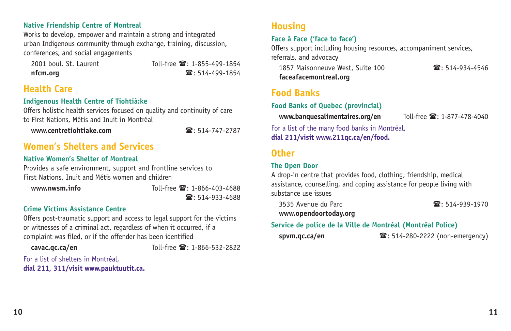#### **Native Friendship Centre of Montreal**

Works to develop, empower and maintain a strong and integrated urban Indigenous community through exchange, training, discussion, conferences, and social engagements

2001 boul. St. Laurent Toll-free  $\mathbb{R}$ : 1-855-499-1854 **nfcm.org** : 514-499-1854

### **Health Care**

#### **Indigenous Health Centre of Tiohtià:ke**

Offers holistic health services focused on quality and continuity of care to First Nations, Métis and Inuit in Montréal

**www.centretiohtiake.com** : 514-747-2787

### **Women's Shelters and Services**

#### **Native Women's Shelter of Montreal**

Provides a safe environment, support and frontline services to First Nations, Inuit and Métis women and children

**www.nwsm.info** Toll-free  $\mathbb{Z}$ : 1-866-403-4688  $\mathbf{R}: 514 - 933 - 4688$ 

#### **Crime Victims Assistance Centre**

Offers post-traumatic support and access to legal support for the victims or witnesses of a criminal act, regardless of when it occurred, if a complaint was filed, or if the offender has been identified

**cavac.qc.ca/en** Toll-free  $\mathbb{R}$ : 1-866-532-2822

For a list of shelters in Montréal, **dial 211, 311/visit www.pauktuutit.ca.**

### **Housing**

#### **Face à Face ('face to face')**

Offers support including housing resources, accompaniment services, referrals, and advocacy

1857 Maisonneuve West, Suite 100 **1857 14-934-4546 faceafacemontreal.org** 

### **Food Banks**

**Food Banks of Quebec (provincial)**

**www.banquesalimentaires.org/en** Toll-free  $\mathbb{R}$ : 1-877-478-4040

For a list of the many food banks in Montréal, **dial 211/visit www.211qc.ca/en/food.**

### **Other**

#### **The Open Door**

A drop-in centre that provides food, clothing, friendship, medical assistance, counselling, and coping assistance for people living with substance use issues

**www.opendoortoday.org** 

#### 3535 Avenue du Parc : 514-939-1970

### **Service de police de la Ville de Montréal (Montréal Police)**

**spvm.qc.ca/en** 28: 514-280-2222 (non-emergency)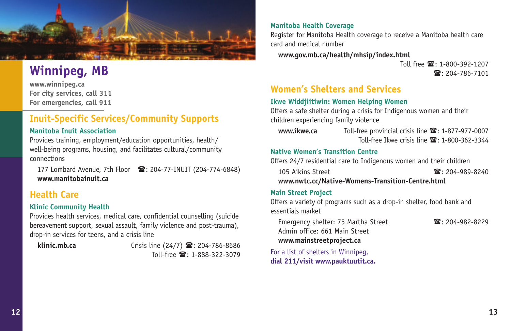

## **Winnipeg, MB**

**www.winnipeg.ca For city services, call 311 For emergencies, call 911**

### **Inuit-Specific Services/Community Supports**

#### **Manitoba Inuit Association**

Provides training, employment/education opportunities, health/ well-being programs, housing, and facilitates cultural/community connections

177 Lombard Avenue, 7th Floor  $\mathbf{\mathcal{D}}$ : 204-77-INUIT (204-774-6848) **www.manitobainuit.ca** 

### **Health Care**

#### **Klinic Community Health**

Provides health services, medical care, confidential counselling (suicide bereavement support, sexual assault, family violence and post-trauma), drop-in services for teens, and a crisis line

**klinic.mb.ca Crisis line (24/7) 雪**: 204-786-8686  $T_0$ II-free  $\mathbb{R} \cdot 1 - 888 - 322 - 3079$ 

#### **Manitoba Health Coverage**

Register for Manitoba Health coverage to receive a Manitoba health care card and medical number

#### **www.gov.mb.ca/health/mhsip/index.html**

 $T_0$ II free  $\mathbb{R} \cdot 1 - 800 - 392 - 1207$  $\mathbf{R}: 204 - 786 - 7101$ 

### **Women's Shelters and Services**

#### **Ikwe Widdjiitiwin: Women Helping Women**

Offers a safe shelter during a crisis for Indigenous women and their children experiencing family violence

**www.ikwe.ca** Toll-free provincial crisis line  $\mathbf{\mathcal{F}}$ : 1-877-977-0007 Toll-free Ikwe crisis line  $\mathbb{R}$ : 1-800-362-3344

#### **Native Women's Transition Centre**

Offers 24/7 residential care to Indigenous women and their children

105 Aikins Street : 2014-089-8240

**www.nwtc.cc/Native-Womens-Transition-Centre.html**

#### **Main Street Project**

Offers a variety of programs such as a drop-in shelter, food bank and essentials market

Emergency shelter: 75 Martha Street  $\blacksquare$ : 204-982-8229 Admin office: 661 Main Street **www.mainstreetproject.ca**

For a list of shelters in Winnipeg, **dial 211/visit www.pauktuutit.ca.**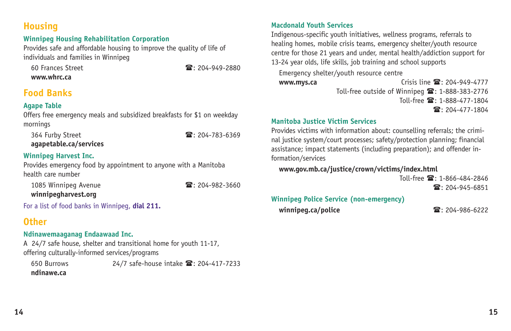### **Housing**

#### **Winnipeg Housing Rehabilitation Corporation**

Provides safe and affordable housing to improve the quality of life of individuals and families in Winnipeg

 60 Frances Street : 204-949-2880 **www.whrc.ca** 

### **Food Banks**

#### **Agape Table**

Offers free emergency meals and subsidized breakfasts for \$1 on weekday mornings

364 Furby Street 204-783-6369 **agapetable.ca/services** 

#### **Winnipeg Harvest Inc.**

Provides emergency food by appointment to anyone with a Manitoba health care number

1085 Winnipeg Avenue  $\blacksquare$ : 204-982-3660

**winnipegharvest.org** 

For a list of food banks in Winnipeg, **dial 211.**

### **Other**

#### **Ndinawemaaganag Endaawaad Inc.**

A 24/7 safe house, shelter and transitional home for youth 11-17, offering culturally-informed services/programs

650 Burrows 24/7 safe-house intake  $\mathbb{S}: 204-417-7233$ **ndinawe.ca**

#### **Macdonald Youth Services**

Indigenous-specific youth initiatives, wellness programs, referrals to healing homes, mobile crisis teams, emergency shelter/youth resource centre for those 21 years and under, mental health/addiction support for 13-24 year olds, life skills, job training and school supports Emergency shelter/youth resource centre **www.mys.ca contracts Crisis line**  $\mathbb{Z}$ **: 204-949-4777** Toll-free outside of Winnipeg  $\mathbf{\mathcal{F}}$ : 1-888-383-2776  $T_0$ II-free  $\mathbb{R} \cdot 1 - 888 - 477 - 1804$  $\mathbf{R}: 204 - 477 - 1804$ 

#### **Manitoba Justice Victim Services**

Provides victims with information about: counselling referrals; the criminal justice system/court processes; safety/protection planning; financial assistance; impact statements (including preparation); and offender information/services

#### **www.gov.mb.ca/justice/crown/victims/index.html**

 $T_0$ II-free  $\mathbb{R} \cdot 1 - 866 - 484 - 2846$ 

 $\mathbf{R}: 204 - 945 - 6851$ 

#### **Winnipeg Police Service (non-emergency)**

**winnipeg.ca/police** : 204-986-6222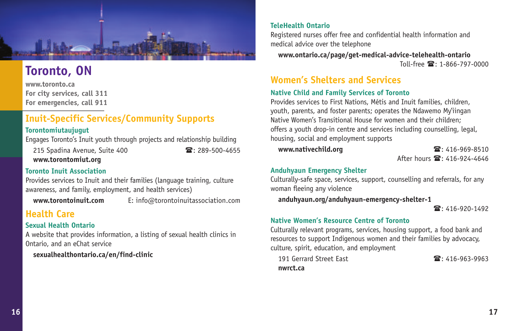

### **Toronto, ON**

**www.toronto.ca For city services, call 311 For emergencies, call 911**

### **Inuit-Specific Services/Community Supports**

#### **Torontomiutaujugut**

Engages Toronto's Inuit youth through projects and relationship building

215 Spadina Avenue, Suite 400  $\blacksquare$ : 289-500-4655 **www.torontomiut.org** 

**Toronto Inuit Association**

Provides services to Inuit and their families (language training, culture awareness, and family, employment, and health services)

**www.torontoinuit.com** E: info@torontoinuitassociation.com

### **Health Care**

#### **Sexual Health Ontario**

A website that provides information, a listing of sexual health clinics in Ontario, and an eChat service

**sexualhealthontario.ca/en/find-clinic**

#### **TeleHealth Ontario**

Registered nurses offer free and confidential health information and medical advice over the telephone

 **www.ontario.ca/page/get-medical-advice-telehealth-ontario**  $T_0$ II-free  $\mathbb{R} \cdot 1 - 866 - 797 - 0000$ 

### **Women's Shelters and Services**

#### **Native Child and Family Services of Toronto**

Provides services to First Nations, Métis and Inuit families, children, youth, parents, and foster parents; operates the Ndawemo My'iingan Native Women's Transitional House for women and their children; offers a youth drop-in centre and services including counselling, legal, housing, social and employment supports

 **www.nativechild.org** : 416-969-8510 After hours  $\mathbf{R}$ : 416-924-4646

#### **Anduhyaun Emergency Shelter**

Culturally-safe space, services, support, counselling and referrals, for any woman fleeing any violence

**anduhyaun.org/anduhyaun-emergency-shelter-1**

: 416-920-1492

#### **Native Women's Resource Centre of Toronto**

Culturally relevant programs, services, housing support, a food bank and resources to support Indigenous women and their families by advocacy, culture, spirit, education, and employment

| 191 Gerrard Street East | $\mathbf{R}$ : 416-963-9963 |
|-------------------------|-----------------------------|
| nwrct.ca                |                             |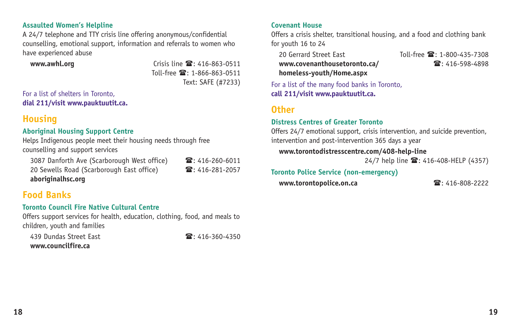#### **Assaulted Women's Helpline**

A 24/7 telephone and TTY crisis line offering anonymous/confidential counselling, emotional support, information and referrals to women who have experienced abuse

**www.awhl.org** Crisis line  $\mathbb{S}: 416-863-0511$  $T_0$ II-free  $\mathbb{R} \cdot 1 - 866 - 863 - 0511$ Text: SAFE (#7233)

For a list of shelters in Toronto, **dial 211/visit www.pauktuutit.ca.**

### **Housing**

#### **Aboriginal Housing Support Centre**

Helps Indigenous people meet their housing needs through free counselling and support services

3087 Danforth Ave (Scarborough West office)  $\bullet$ : 416-260-6011 20 Sewells Road (Scarborough East office) 120 Sewells Road (Scarborough East office) **aboriginalhsc.org**

### **Food Banks**

#### **Toronto Council Fire Native Cultural Centre**

Offers support services for health, education, clothing, food, and meals to children, youth and families

439 Dundas Street East : 2008 : 416-360-4350 **www.councilfire.ca** 

#### **Covenant House**

Offers a crisis shelter, transitional housing, and a food and clothing bank for youth 16 to 24

**www.covenanthousetoronto.ca/** 2: 416-598-4898 **homeless-youth/Home.aspx** 

20 Gerrard Street Fast Toll-free  $\mathbb{R}: 1-800-435-7308$ 

For a list of the many food banks in Toronto, **call 211/visit www.pauktuutit.ca.**

#### **Other**

#### **Distress Centres of Greater Toronto**

Offers 24/7 emotional support, crisis intervention, and suicide prevention, intervention and post-intervention 365 days a year

#### **www.torontodistresscentre.com/408-help-line**

24/7 help line  $\mathbf{2}$ : 416-408-HELP (4357)

#### **Toronto Police Service (non-emergency)**

**www.torontopolice.on.ca** : 416-808-2222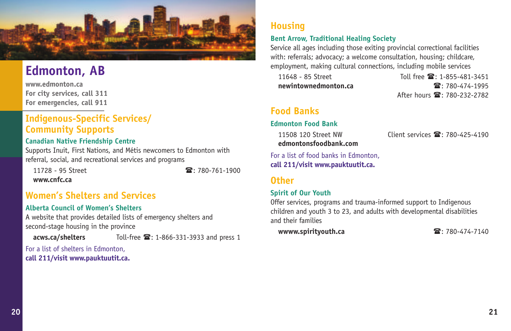

### **Edmonton, AB**

**www.edmonton.ca For city services, call 311 For emergencies, call 911**

### **Indigenous-Specific Services/ Community Supports**

#### **Canadian Native Friendship Centre**

Supports Inuit, First Nations, and Métis newcomers to Edmonton with referral, social, and recreational services and programs

11728 - 95 Street : 780-761-1900 **www.cnfc.ca** 

### **Women's Shelters and Services**

#### **Alberta Council of Women's Shelters**

A website that provides detailed lists of emergency shelters and second-stage housing in the province

acws.ca/shelters Toll-free <sup>2</sup>: 1-866-331-3933 and press 1

For a list of shelters in Edmonton, **call 211/visit www.pauktuutit.ca.**

### **Housing**

#### **Bent Arrow, Traditional Healing Society**

Service all ages including those exiting provincial correctional facilities with: referrals; advocacy; a welcome consultation, housing; childcare, employment, making cultural connections, including mobile services

11648 - 85 Street Toll free  $\mathbb{R}$ : 1-855-481-3451 **newintownedmonton.ca** : 780-474-1995 After hours **2**: 780-232-2782

### **Food Banks**

#### **Edmonton Food Bank**

11508 120 Street NW Client services  $\mathbb{S}: 780 - 425 - 4190$ **edmontonsfoodbank.com** 

For a list of food banks in Edmonton, **call 211/visit www.pauktuutit.ca.**

#### **Other**

#### **Spirit of Our Youth**

Offer services, programs and trauma-informed support to Indigenous children and youth 3 to 23, and adults with developmental disabilities and their families

**wwww.spirityouth.ca** : 780-474-7140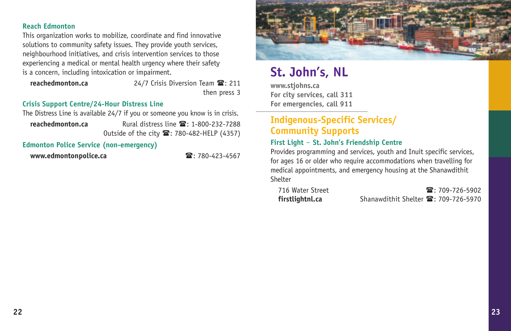#### **Reach Edmonton**

This organization works to mobilize, coordinate and find innovative solutions to community safety issues. They provide youth services, neighbourhood initiatives, and crisis intervention services to those experiencing a medical or mental health urgency where their safety is a concern, including intoxication or impairment.

**reachedmonton.ca** 24/7 Crisis Diversion Team  $\mathbb{Z}$ : 211 then press 3

#### **Crisis Support Centre/24-Hour Distress Line**

The Distress Line is available 24/7 if you or someone you know is in crisis.

**reachedmonton.ca** Rural distress line  $\mathbb{R}$ : 1-800-232-7288 Outside of the city <sup>2</sup>: 780-482-HELP (4357)

#### **Edmonton Police Service (non-emergency)**

**www.edmontonpolice.ca www.edmontonpolice.ca a**: 780-423-4567



## **St. John's, NL**

**www.stjohns.ca For city services, call 311 For emergencies, call 911**

### **Indigenous-Specific Services/ Community Supports**

#### **First Light** ‒ **St. John's Friendship Centre**

Provides programming and services, youth and Inuit specific services, for ages 16 or older who require accommodations when travelling for medical appointments, and emergency housing at the Shanawdithit Shelter

| 716 Water Street | $\mathbf{R}$ : 709-726-5902                                |
|------------------|------------------------------------------------------------|
| firstlightnl.ca  | Shanawdithit Shelter $\mathbf{\mathcal{F}}$ : 709-726-5970 |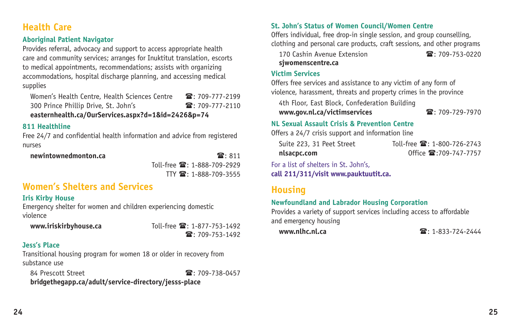### **Health Care**

#### **Aboriginal Patient Navigator**

Provides referral, advocacy and support to access appropriate health care and community services; arranges for Inuktitut translation, escorts to medical appointments, recommendations; assists with organizing accommodations, hospital discharge planning, and accessing medical supplies

Women's Health Centre, Health Sciences Centre 2: 709-777-2199 300 Prince Phillip Drive, St. John's 200-777-2110 **easternhealth.ca/OurServices.aspx?d=1&id=2426&p=74**

#### **811 Healthline**

Free 24/7 and confidential health information and advice from registered nurses

 **newintownedmonton.ca** : 811 Toll-free  $\mathbb{R}$ : 1-888-709-2929  $TTY$   $\mathbb{R}$ : 1-888-709-3555

### **Women's Shelters and Services**

#### **Iris Kirby House**

Emergency shelter for women and children experiencing domestic violence

**www.iriskirbyhouse.ca** Toll-free  $\mathbf{E}: 1-877-753-1492$  $\mathbf{R}: 709 - 753 - 1492$ 

#### **Jess's Place**

Transitional housing program for women 18 or older in recovery from substance use

84 Prescott Street : 200-738-0457

**bridgethegapp.ca/adult/service-directory/jesss-place**

#### **St. John's Status of Women Council/Women Centre**

Offers individual, free drop-in single session, and group counselling, clothing and personal care products, craft sessions, and other programs

170 Cashin Avenue Extension  $\mathbb{R} \cdot 709 - 753 - 0220$ **sjwomenscentre.ca** 

#### **Victim Services**

Offers free services and assistance to any victim of any form of violence, harassment, threats and property crimes in the province

4th Floor, East Block, Confederation Building

**www.gov.nl.ca/victimservices** : 709-729-7970

#### **NL Sexual Assault Crisis & Prevention Centre**

Offers a 24/7 crisis support and information line

| Suite 223, 31 Peet Street | Toll-free <b>雷</b> : 1-800-726-2743 |
|---------------------------|-------------------------------------|
| nlsacpc.com               | Office $\mathbf{2}$ :709-747-7757   |

For a list of shelters in St. John's, **call 211/311/visit www.pauktuutit.ca.**

### **Housing**

#### **Newfoundland and Labrador Housing Corporation**

Provides a variety of support services including access to affordable and emergency housing

**www.nlhc.nl.ca** : 1-833-724-2444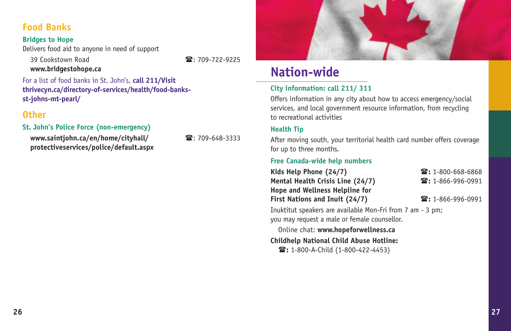### **Food Banks**

#### **Bridges to Hope**

Delivers food aid to anyone in need of support

 39 Cookstown Road : 709-722-9225 **www.bridgestohope.ca** 

For a list of food banks in St. John's, **call 211/Visit thrivecyn.ca/directory-of-services/health/food-banksst-johns-mt-pearl/**

### **Other**

#### **St. John's Police Force (non-emergency)**

 **www.saintjohn.ca/en/home/cityhall/** : 709-648-3333 **protectiveservices/police/default.aspx**



### **Nation-wide**

#### **City information: call 211/ 311**

Offers information in any city about how to access emergency/social services, and local government resource information, from recycling to recreational activities

#### **Health Tip**

After moving south, your territorial health card number offers coverage for up to three months.

#### **Free Canada-wide help numbers**

| Kids Help Phone (24/7)           | $\mathbf{\widehat{m}}$ : 1-800-668-6868 |
|----------------------------------|-----------------------------------------|
| Mental Health Crisis Line (24/7) | $\mathbf{\widehat{m}}$ : 1-866-996-0991 |
| Hope and Wellness Helpline for   |                                         |
| First Nations and Inuit (24/7)   | $\mathbf{\widehat{m}}$ : 1-866-996-0991 |
|                                  |                                         |

Inuktitut speakers are available Mon-Fri from 7 am - 3 pm; you may request a male or female counsellor.

 Online chat: **www.hopeforwellness.ca Childhelp National Child Abuse Hotline: :** 1-800-A-Child (1-800-422-4453)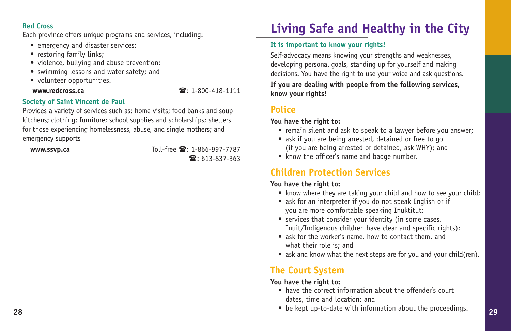#### **Red Cross**

Each province offers unique programs and services, including:

- emergency and disaster services;
- restoring family links;
- violence, bullying and abuse prevention;
- swimming lessons and water safety; and
- volunteer opportunities.

#### **www.redcross.ca** : 1-800-418-1111

#### **Society of Saint Vincent de Paul**

Provides a variety of services such as: home visits; food banks and soup kitchens; clothing; furniture; school supplies and scholarships; shelters for those experiencing homelessness, abuse, and single mothers; and emergency supports

**www.ssvp.ca Toll-free**  $\mathbf{E}: 1-866-997-7787$  $\mathbf{R}: 613 - 837 - 363$ 

## **Living Safe and Healthy in the City**

#### **It is important to know your rights!**

Self-advocacy means knowing your strengths and weaknesses, developing personal goals, standing up for yourself and making decisions. You have the right to use your voice and ask questions. **If you are dealing with people from the following services, know your rights!**

### **Police**

#### **You have the right to:**

- remain silent and ask to speak to a lawyer before you answer;
- ask if you are being arrested, detained or free to go (if you are being arrested or detained, ask WHY); and
- know the officer's name and badge number.

### **Children Protection Services**

#### **You have the right to:**

- know where they are taking your child and how to see your child;
- ask for an interpreter if you do not speak English or if you are more comfortable speaking Inuktitut;
- services that consider your identity (in some cases, Inuit/Indigenous children have clear and specific rights);
- ask for the worker's name, how to contact them, and what their role is; and
- ask and know what the next steps are for you and your child(ren).

### **The Court System**

#### **You have the right to:**

- have the correct information about the offender's court dates, time and location; and
- **28 29** • be kept up-to-date with information about the proceedings.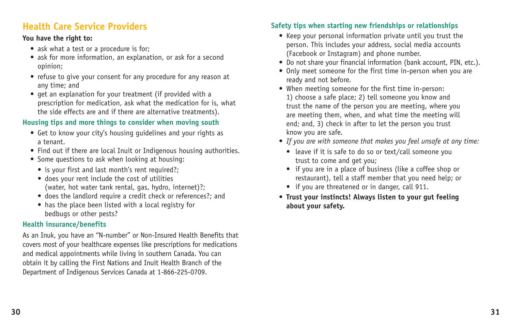### **Health Care Service Providers**

#### **You have the right to:**

- ask what a test or a procedure is for;
- ask for more information, an explanation, or ask for a second opinion;
- refuse to give your consent for any procedure for any reason at any time; and
- get an explanation for your treatment (if provided with a prescription for medication, ask what the medication for is, what the side effects are and if there are alternative treatments).

#### **Housing tips and more things to consider when moving south**

- Get to know your city's housing guidelines and your rights as a tenant.
- Find out if there are local Inuit or Indigenous housing authorities.
- Some questions to ask when looking at housing:
	- is your first and last month's rent required?;
	- does your rent include the cost of utilities (water, hot water tank rental, gas, hydro, internet)?;
	- does the landlord require a credit check or references?; and
	- has the place been listed with a local registry for bedbugs or other pests?

#### **Health insurance/benefits**

As an Inuk, you have an "N-number" or Non-Insured Health Benefits that covers most of your healthcare expenses like prescriptions for medications and medical appointments while living in southern Canada. You can obtain it by calling the First Nations and Inuit Health Branch of the Department of Indigenous Services Canada at 1-866-225-0709.

#### **Safety tips when starting new friendships or relationships**

- Keep your personal information private until you trust the person. This includes your address, social media accounts (Facebook or Instagram) and phone number.
- Do not share your financial information (bank account, PIN, etc.).
- Only meet someone for the first time in-person when you are ready and not before.
- When meeting someone for the first time in-person: 1) choose a safe place; 2) tell someone you know and trust the name of the person you are meeting, where you are meeting them, when, and what time the meeting will end; and, 3) check in after to let the person you trust know you are safe.
- *If you are with someone that makes you feel unsafe at any time:*
	- leave if it is safe to do so or text/call someone you trust to come and get you;
	- if you are in a place of business (like a coffee shop or restaurant), tell a staff member that you need help; or
	- if you are threatened or in danger, call 911.
- **Trust your instincts! Always listen to your gut feeling about your safety.**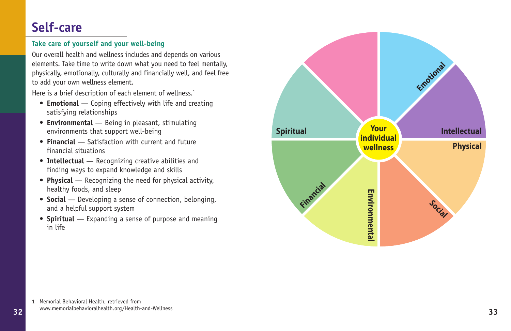### **Self-care**

### **Take care of yourself and your well-being**

Our overall health and wellness includes and depends on various elements. Take time to write down what you need to feel mentally, physically, emotionally, culturally and financially well, and feel free to add your own wellness element.

Here is a brief description of each element of wellness.<sup>1</sup>

- **Emotional** Coping effectively with life and creating satisfying relationships
- **Environmental** Being in pleasant, stimulating environments that support well-being
- **Financial** Satisfaction with current and future financial situations
- **Intellectual** Recognizing creative abilities and finding ways to expand knowledge and skills
- **Physical** Recognizing the need for physical activity, healthy foods, and sleep
- **Social** Developing a sense of connection, belonging, and a helpful support system
- **Spiritual** Expanding a sense of purpose and meaning in life



<sup>1</sup> Memorial Behavioral Health, retrieved from www.memorialbehavioralhealth.org/Health-and-Wellness